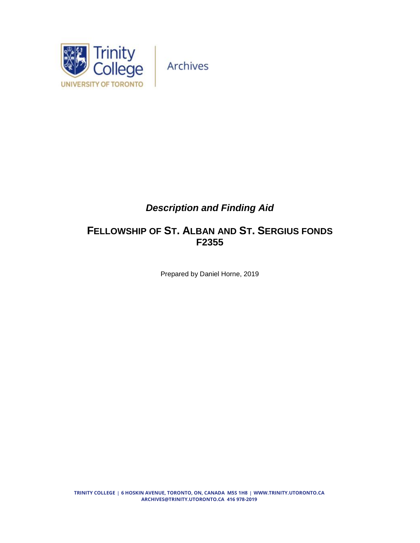

Archives

# *Description and Finding Aid*

# **FELLOWSHIP OF ST. ALBAN AND ST. SERGIUS FONDS F2355**

Prepared by Daniel Horne, 2019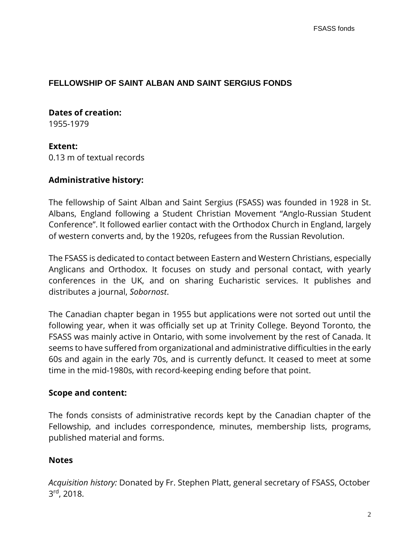## **FELLOWSHIP OF SAINT ALBAN AND SAINT SERGIUS FONDS**

## **Dates of creation:**

1955-1979

#### **Extent:**

0.13 m of textual records

#### **Administrative history:**

The fellowship of Saint Alban and Saint Sergius (FSASS) was founded in 1928 in St. Albans, England following a Student Christian Movement "Anglo-Russian Student Conference". It followed earlier contact with the Orthodox Church in England, largely of western converts and, by the 1920s, refugees from the Russian Revolution.

The FSASS is dedicated to contact between Eastern and Western Christians, especially Anglicans and Orthodox. It focuses on study and personal contact, with yearly conferences in the UK, and on sharing Eucharistic services. It publishes and distributes a journal, *Sobornost*.

The Canadian chapter began in 1955 but applications were not sorted out until the following year, when it was officially set up at Trinity College. Beyond Toronto, the FSASS was mainly active in Ontario, with some involvement by the rest of Canada. It seems to have suffered from organizational and administrative difficulties in the early 60s and again in the early 70s, and is currently defunct. It ceased to meet at some time in the mid-1980s, with record-keeping ending before that point.

#### **Scope and content:**

The fonds consists of administrative records kept by the Canadian chapter of the Fellowship, and includes correspondence, minutes, membership lists, programs, published material and forms.

## **Notes**

*Acquisition history:* Donated by Fr. Stephen Platt, general secretary of FSASS, October 3<sup>rd</sup>, 2018.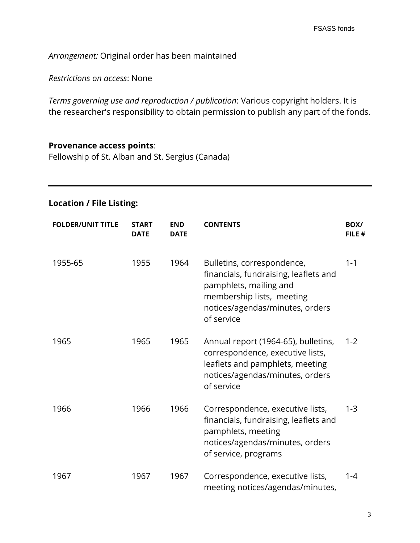*Arrangement:* Original order has been maintained

*Restrictions on access*: None

*Terms governing use and reproduction / publication*: Various copyright holders. It is the researcher's responsibility to obtain permission to publish any part of the fonds.

## **Provenance access points**:

Fellowship of St. Alban and St. Sergius (Canada)

## **Location / File Listing:**

| <b>FOLDER/UNIT TITLE</b> | <b>START</b><br><b>DATE</b> | <b>END</b><br><b>DATE</b> | <b>CONTENTS</b>                                                                                                                                                             | BOX/<br>FILE # |
|--------------------------|-----------------------------|---------------------------|-----------------------------------------------------------------------------------------------------------------------------------------------------------------------------|----------------|
| 1955-65                  | 1955                        | 1964                      | Bulletins, correspondence,<br>financials, fundraising, leaflets and<br>pamphlets, mailing and<br>membership lists, meeting<br>notices/agendas/minutes, orders<br>of service | $1 - 1$        |
| 1965                     | 1965                        | 1965                      | Annual report (1964-65), bulletins,<br>correspondence, executive lists,<br>leaflets and pamphlets, meeting<br>notices/agendas/minutes, orders<br>of service                 | $1 - 2$        |
| 1966                     | 1966                        | 1966                      | Correspondence, executive lists,<br>financials, fundraising, leaflets and<br>pamphlets, meeting<br>notices/agendas/minutes, orders<br>of service, programs                  | $1 - 3$        |
| 1967                     | 1967                        | 1967                      | Correspondence, executive lists,<br>meeting notices/agendas/minutes,                                                                                                        | $1 - 4$        |